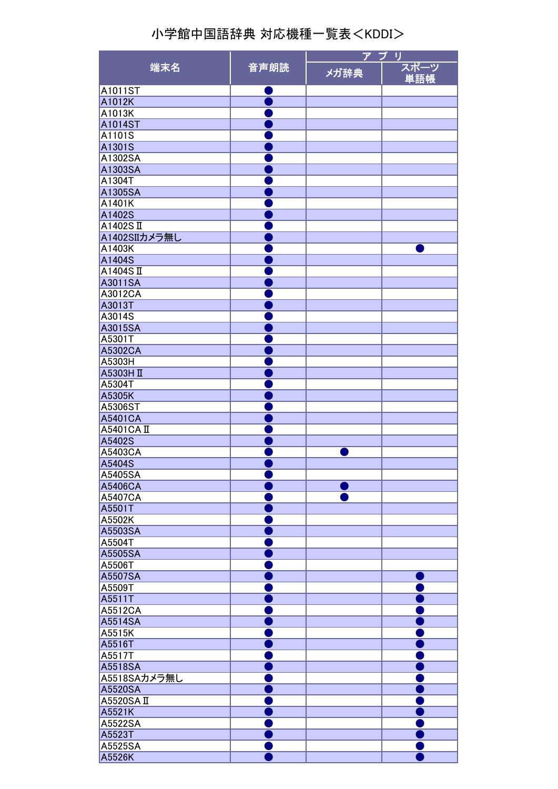|                   | 音声朗読 | アプ<br>- U |      |
|-------------------|------|-----------|------|
| 端末名               |      | メガ辞典      | スポーツ |
|                   |      |           | 単語帳  |
| A1011ST           |      |           |      |
| A1012K            |      |           |      |
| A1013K            |      |           |      |
| A1014ST           |      |           |      |
| A1101S            |      |           |      |
| A1301S            |      |           |      |
| A1302SA           |      |           |      |
| A1303SA<br>A1304T |      |           |      |
| A1305SA           |      |           |      |
| A1401K            |      |           |      |
| A1402S            |      |           |      |
| A1402SII          |      |           |      |
| A1402SIIカメラ無し     |      |           |      |
| A1403K            |      |           |      |
| A1404S            |      |           |      |
| A1404SII          |      |           |      |
| A3011SA           |      |           |      |
| A3012CA           |      |           |      |
| A3013T            |      |           |      |
| A3014S            |      |           |      |
| A3015SA           |      |           |      |
| A5301T            |      |           |      |
| A5302CA           |      |           |      |
| A5303H            |      |           |      |
| A5303H II         |      |           |      |
| A5304T            |      |           |      |
| A5305K            |      |           |      |
| A5306ST           |      |           |      |
| A5401CA           |      |           |      |
| A5401CA II        |      |           |      |
| A5402S            |      |           |      |
| A5403CA           |      |           |      |
| A5404S            |      |           |      |
| A5405SA           |      |           |      |
| A5406CA           |      |           |      |
| A5407CA           |      |           |      |
| A5501T            |      |           |      |
| A5502K            |      |           |      |
| A5503SA           |      |           |      |
| A5504T            |      |           |      |
| A5505SA           |      |           |      |
| A5506T            |      |           |      |
| A5507SA           |      |           |      |
| A5509T            |      |           |      |
| A5511T            |      |           |      |
| A5512CA           |      |           |      |
| A5514SA           |      |           |      |
| A5515K            |      |           |      |
| A5516T            |      |           |      |
| A5517T            |      |           |      |
| A5518SA           |      |           |      |
| A5518SAカメラ無し      |      |           |      |
| A5520SA           |      |           |      |
| A5520SAII         |      |           |      |
| A5521K            |      |           |      |
| A5522SA           |      |           |      |
| A5523T            |      |           |      |
| A5525SA           |      |           |      |
| A5526K            |      |           |      |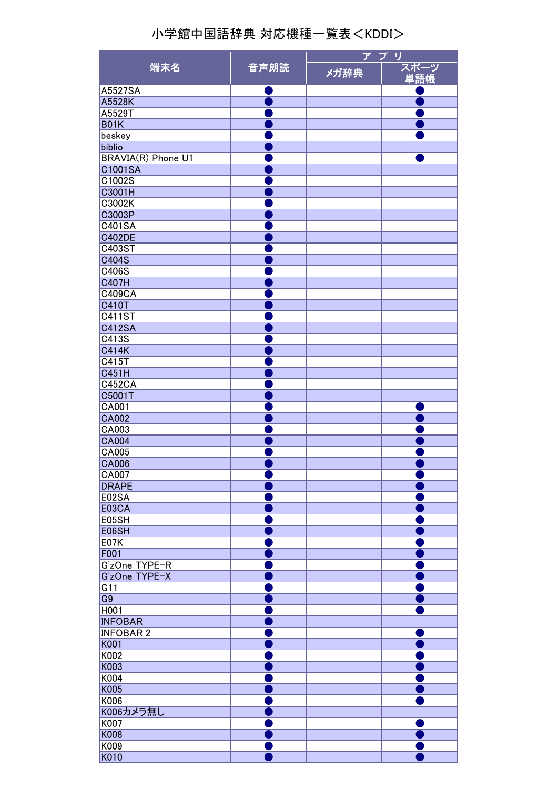| 端末名                       | 音声朗読 | ア プ<br>IJ |             |
|---------------------------|------|-----------|-------------|
|                           |      | メガ辞典      | スポーツ<br>単語帳 |
| A5527SA                   |      |           |             |
|                           |      |           |             |
| A5528K                    |      |           |             |
| A5529T                    |      |           |             |
| <b>B01K</b>               |      |           |             |
| beskey                    |      |           |             |
| biblio                    |      |           |             |
| <b>BRAVIA(R) Phone U1</b> |      |           |             |
| C1001SA                   |      |           |             |
| C1002S                    |      |           |             |
| C3001H                    |      |           |             |
| C3002K                    |      |           |             |
| C3003P                    |      |           |             |
| C401SA                    |      |           |             |
| <b>C402DE</b>             |      |           |             |
| C403ST                    |      |           |             |
| C404S                     |      |           |             |
| C406S                     |      |           |             |
| <b>C407H</b>              |      |           |             |
| <b>C409CA</b>             |      |           |             |
| <b>C410T</b>              |      |           |             |
|                           |      |           |             |
| <b>C411ST</b>             |      |           |             |
| <b>C412SA</b>             |      |           |             |
| C413S                     |      |           |             |
| <b>C414K</b>              |      |           |             |
| C415T                     |      |           |             |
| C451H                     |      |           |             |
| <b>C452CA</b>             |      |           |             |
| C5001T                    |      |           |             |
| CA001                     |      |           |             |
| <b>CA002</b>              |      |           |             |
| CA003                     |      |           |             |
| <b>CA004</b>              |      |           |             |
| CA005                     |      |           |             |
| <b>CA006</b>              |      |           |             |
| CA007                     |      |           |             |
| <b>DRAPE</b>              |      |           |             |
| E02SA                     |      |           |             |
| <b>E03CA</b>              |      |           |             |
|                           |      |           |             |
| E05SH                     |      |           |             |
| E06SH                     |      |           |             |
| <b>E07K</b>               |      |           |             |
| F001                      |      |           |             |
| G'zOne TYPE-R             |      |           |             |
| G'zOne TYPE-X             |      |           |             |
| G11                       |      |           |             |
| G <sub>9</sub>            |      |           |             |
| H001                      |      |           |             |
| <b>INFOBAR</b>            |      |           |             |
| <b>INFOBAR 2</b>          |      |           |             |
| K001                      |      |           |             |
| K002                      |      |           |             |
| K003                      |      |           |             |
| K004                      |      |           |             |
| K005                      |      |           |             |
|                           |      |           |             |
| K006                      |      |           |             |
| K006カメラ無し                 |      |           |             |
| K007                      |      |           |             |
| K008                      |      |           |             |
| K009                      |      |           |             |
| K010                      |      |           |             |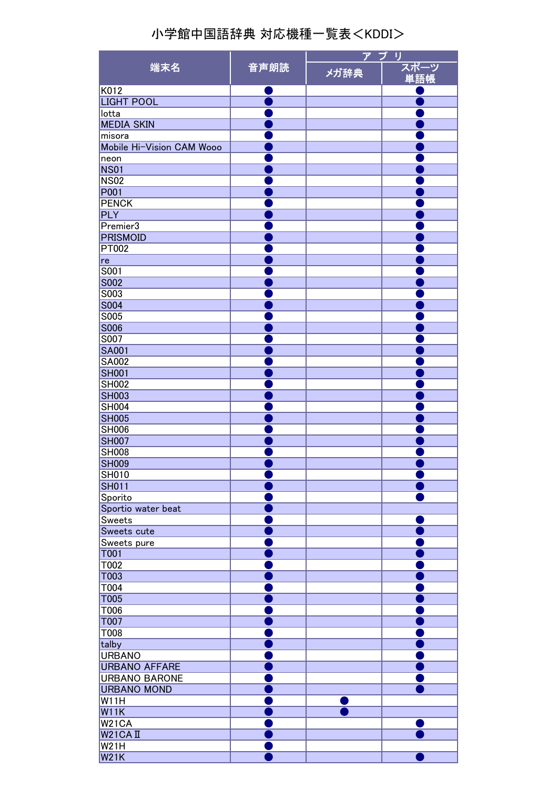| 端末名                              |      | ア プ<br>IJ |             |
|----------------------------------|------|-----------|-------------|
|                                  | 音声朗読 | メガ辞典      | スポーツ<br>単語帳 |
| K012                             |      |           |             |
| <b>LIGHT POOL</b>                |      |           |             |
| lotta                            |      |           |             |
| <b>MEDIA SKIN</b>                |      |           |             |
| misora                           |      |           |             |
| Mobile Hi-Vision CAM Wooo        |      |           |             |
| neon                             |      |           |             |
| <b>NS01</b>                      |      |           |             |
| <b>NS02</b>                      |      |           |             |
| P001                             |      |           |             |
| <b>PENCK</b>                     |      |           |             |
| <b>PLY</b>                       |      |           |             |
| Premier3                         |      |           |             |
| <b>PRISMOID</b>                  |      |           |             |
| PT002                            |      |           |             |
| re                               |      |           |             |
| S001                             |      |           |             |
| <b>S002</b>                      |      |           |             |
| S003<br><b>S004</b>              |      |           |             |
|                                  |      |           |             |
| S005                             |      |           |             |
| <b>S006</b>                      |      |           |             |
| S007<br><b>SA001</b>             |      |           |             |
| <b>SA002</b>                     |      |           |             |
| <b>SH001</b>                     |      |           |             |
| <b>SH002</b>                     |      |           |             |
| <b>SH003</b>                     |      |           |             |
| <b>SH004</b>                     |      |           |             |
| <b>SH005</b>                     |      |           |             |
| <b>SH006</b>                     |      |           |             |
| <b>SH007</b>                     |      |           |             |
| <b>SH008</b>                     |      |           |             |
| <b>SH009</b>                     |      |           |             |
| <b>SH010</b>                     |      |           |             |
| <b>SH011</b>                     |      |           |             |
| Sporito                          |      |           |             |
| Sportio water beat               |      |           |             |
| Sweets                           |      |           |             |
| Sweets cute                      |      |           |             |
| Sweets pure                      |      |           |             |
| <b>T001</b>                      |      |           |             |
| T002                             |      |           |             |
| T003                             |      |           |             |
| T004                             |      |           |             |
| <b>T005</b>                      |      |           |             |
| T006                             |      |           |             |
| <b>T007</b>                      |      |           |             |
| T008                             |      |           |             |
| talby                            |      |           |             |
| <b>URBANO</b>                    |      |           |             |
| <b>URBANO AFFARE</b>             |      |           |             |
| <b>URBANO BARONE</b>             |      |           |             |
| <b>URBANO MOND</b>               |      |           |             |
| W11H                             |      |           |             |
| <b>W11K</b>                      |      |           |             |
| W21CA                            |      |           |             |
| W <sub>21</sub> CA <sub>II</sub> |      |           |             |
| W21H                             |      |           |             |
| <b>W21K</b>                      |      |           |             |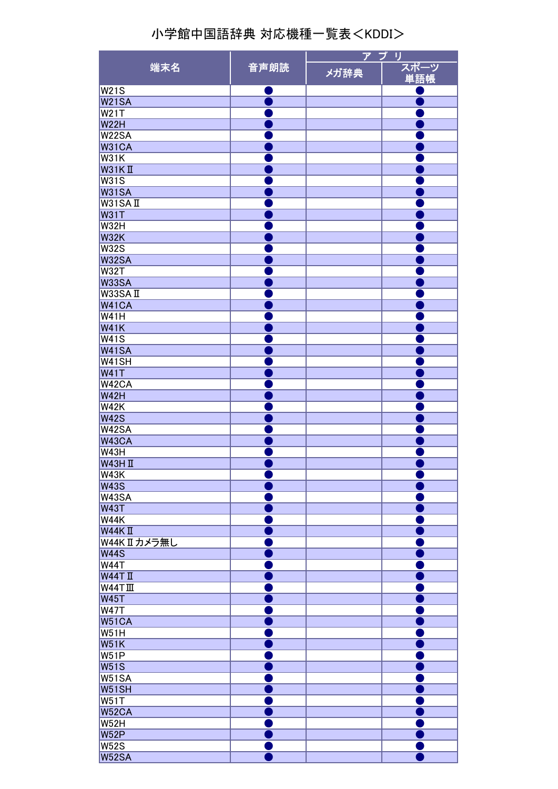|                |      | アプ<br>IJ |             |
|----------------|------|----------|-------------|
| 端末名            | 音声朗読 | メガ辞典     | スポーツ<br>単語帳 |
| <b>W21S</b>    |      |          |             |
| <b>W21SA</b>   |      |          |             |
| <b>W21T</b>    |      |          |             |
| <b>W22H</b>    |      |          |             |
| <b>W22SA</b>   |      |          |             |
| <b>W31CA</b>   |      |          |             |
| W31K           |      |          |             |
| $W31K$ II      |      |          |             |
| <b>W31S</b>    |      |          |             |
| <b>W31SA</b>   |      |          |             |
| W31SAII        |      |          |             |
| <b>W31T</b>    |      |          |             |
| <b>W32H</b>    |      |          |             |
| <b>W32K</b>    |      |          |             |
| <b>W32S</b>    |      |          |             |
| <b>W32SA</b>   |      |          |             |
| <b>W32T</b>    |      |          |             |
| <b>W33SA</b>   |      |          |             |
| W33SAII        |      |          |             |
| W41CA          |      |          |             |
| <b>W41H</b>    |      |          |             |
| <b>W41K</b>    |      |          |             |
|                |      |          |             |
| <b>W41S</b>    |      |          |             |
| W41SA          |      |          |             |
| W41SH          |      |          |             |
| <b>W41T</b>    |      |          |             |
| W42CA          |      |          |             |
| <b>W42H</b>    |      |          |             |
| <b>W42K</b>    |      |          |             |
| <b>W42S</b>    |      |          |             |
| W42SA          |      |          |             |
| <b>W43CA</b>   |      |          |             |
| <b>W43H</b>    |      |          |             |
| <b>W43HI</b>   |      |          |             |
| W43K           |      |          |             |
| <b>W43S</b>    |      |          |             |
| W43SA          |      |          |             |
| <b>W43T</b>    |      |          |             |
| <b>W44K</b>    |      |          |             |
| $W44K$ II      |      |          |             |
| W44K IIカメラ無し   |      |          |             |
| <b>W44S</b>    |      |          |             |
| <b>W44T</b>    |      |          |             |
| $W44T$ II      |      |          |             |
| <b>W44TIII</b> |      |          |             |
| <b>W45T</b>    |      |          |             |
| <b>W47T</b>    |      |          |             |
| W51CA          |      |          |             |
| <b>W51H</b>    |      |          |             |
| <b>W51K</b>    |      |          |             |
| <b>W51P</b>    |      |          |             |
| <b>W51S</b>    |      |          |             |
| <b>W51SA</b>   |      |          |             |
| W51SH          |      |          |             |
| W51T           |      |          |             |
| W52CA          |      |          |             |
| <b>W52H</b>    |      |          |             |
| <b>W52P</b>    |      |          |             |
| <b>W52S</b>    |      |          |             |
| W52SA          |      |          |             |